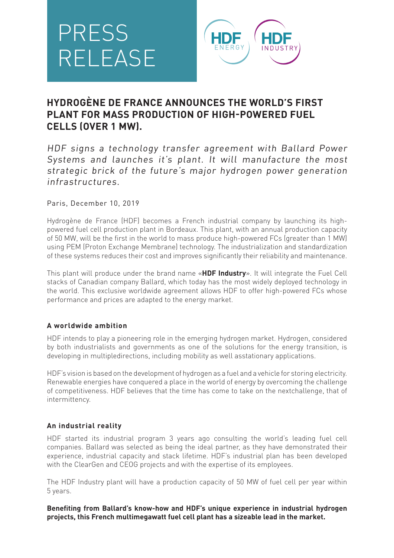# PRESS RELEASE



# **HYDROGÈNE DE FRANCE ANNOUNCES THE WORLD'S FIRST PLANT FOR MASS PRODUCTION OF HIGH-POWERED FUEL CELLS (OVER 1 MW).**

HDF signs a technology transfer agreement with Ballard Power Systems and launches it's plant. It will manufacture the most strategic brick of the future's major hydrogen power generation infrastructures.

#### Paris, December 10, 2019

Hydrogène de France (HDF) becomes a French industrial company by launching its highpowered fuel cell production plant in Bordeaux. This plant, with an annual production capacity of 50 MW, will be the first in the world to mass produce high-powered FCs (greater than 1 MW) using PEM (Proton Exchange Membrane) technology. The industrialization and standardization of these systems reduces their cost and improves significantly their reliability and maintenance.

This plant will produce under the brand name «**HDF Industry**». It will integrate the Fuel Cell stacks of Canadian company Ballard, which today has the most widely deployed technology in the world. This exclusive worldwide agreement allows HDF to offer high-powered FCs whose performance and prices are adapted to the energy market.

## **A worldwide ambition**

HDF intends to play a pioneering role in the emerging hydrogen market. Hydrogen, considered by both industrialists and governments as one of the solutions for the energy transition, is developing in multipledirections, including mobility as well asstationary applications.

HDF's vision is based on the development of hydrogen as a fuel and a vehicle for storing electricity. Renewable energies have conquered a place in the world of energy by overcoming the challenge of competitiveness. HDF believes that the time has come to take on the nextchallenge, that of intermittency.

## **An industrial reality**

HDF started its industrial program 3 years ago consulting the world's leading fuel cell companies. Ballard was selected as being the ideal partner, as they have demonstrated their experience, industrial capacity and stack lifetime. HDF's industrial plan has been developed with the ClearGen and CEOG projects and with the expertise of its employees.

The HDF Industry plant will have a production capacity of 50 MW of fuel cell per year within 5 years.

**Benefiting from Ballard's know-how and HDF's unique experience in industrial hydrogen projects, this French multimegawatt fuel cell plant has a sizeable lead in the market.**